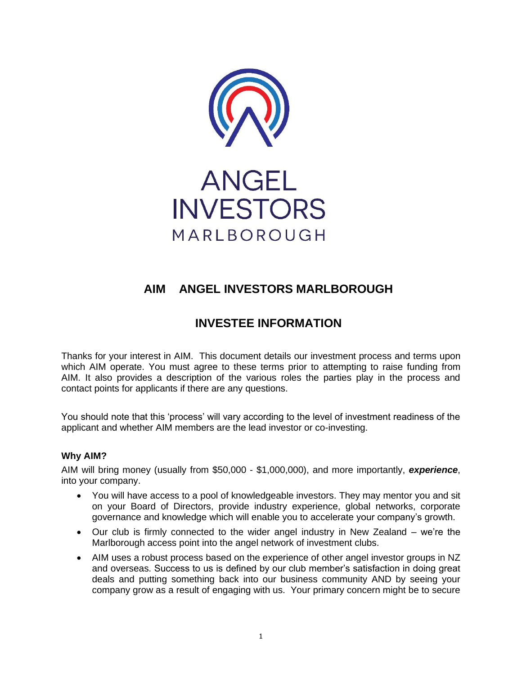

# **AIM ANGEL INVESTORS MARLBOROUGH**

# **INVESTEE INFORMATION**

Thanks for your interest in AIM. This document details our investment process and terms upon which AIM operate. You must agree to these terms prior to attempting to raise funding from AIM. It also provides a description of the various roles the parties play in the process and contact points for applicants if there are any questions.

You should note that this 'process' will vary according to the level of investment readiness of the applicant and whether AIM members are the lead investor or co-investing.

## **Why AIM?**

AIM will bring money (usually from \$50,000 - \$1,000,000), and more importantly, *experience*, into your company.

- You will have access to a pool of knowledgeable investors. They may mentor you and sit on your Board of Directors, provide industry experience, global networks, corporate governance and knowledge which will enable you to accelerate your company's growth.
- Our club is firmly connected to the wider angel industry in New Zealand we're the Marlborough access point into the angel network of investment clubs.
- AIM uses a robust process based on the experience of other angel investor groups in NZ and overseas. Success to us is defined by our club member's satisfaction in doing great deals and putting something back into our business community AND by seeing your company grow as a result of engaging with us. Your primary concern might be to secure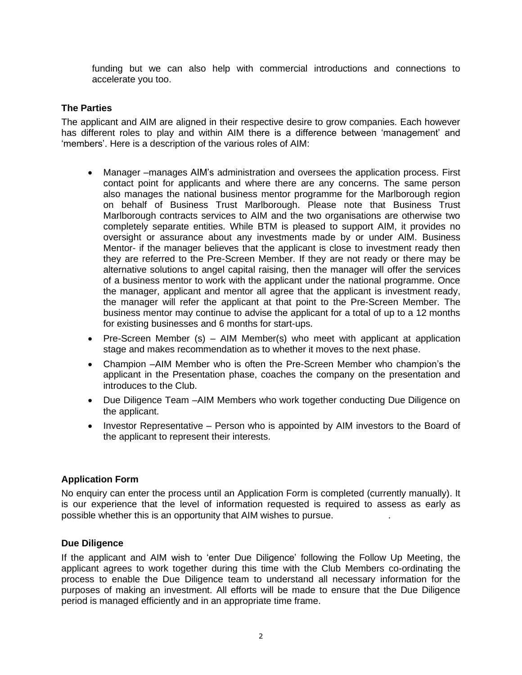funding but we can also help with commercial introductions and connections to accelerate you too.

#### **The Parties**

The applicant and AIM are aligned in their respective desire to grow companies. Each however has different roles to play and within AIM there is a difference between 'management' and 'members'. Here is a description of the various roles of AIM:

- Manager –manages AIM's administration and oversees the application process. First contact point for applicants and where there are any concerns. The same person also manages the national business mentor programme for the Marlborough region on behalf of Business Trust Marlborough. Please note that Business Trust Marlborough contracts services to AIM and the two organisations are otherwise two completely separate entities. While BTM is pleased to support AIM, it provides no oversight or assurance about any investments made by or under AIM. Business Mentor- if the manager believes that the applicant is close to investment ready then they are referred to the Pre-Screen Member. If they are not ready or there may be alternative solutions to angel capital raising, then the manager will offer the services of a business mentor to work with the applicant under the national programme. Once the manager, applicant and mentor all agree that the applicant is investment ready, the manager will refer the applicant at that point to the Pre-Screen Member. The business mentor may continue to advise the applicant for a total of up to a 12 months for existing businesses and 6 months for start-ups.
- Pre-Screen Member (s) AIM Member(s) who meet with applicant at application stage and makes recommendation as to whether it moves to the next phase.
- Champion –AIM Member who is often the Pre-Screen Member who champion's the applicant in the Presentation phase, coaches the company on the presentation and introduces to the Club.
- Due Diligence Team –AIM Members who work together conducting Due Diligence on the applicant.
- Investor Representative Person who is appointed by AIM investors to the Board of the applicant to represent their interests.

#### **Application Form**

No enquiry can enter the process until an Application Form is completed (currently manually). It is our experience that the level of information requested is required to assess as early as possible whether this is an opportunity that AIM wishes to pursue. .

#### **Due Diligence**

If the applicant and AIM wish to 'enter Due Diligence' following the Follow Up Meeting, the applicant agrees to work together during this time with the Club Members co-ordinating the process to enable the Due Diligence team to understand all necessary information for the purposes of making an investment. All efforts will be made to ensure that the Due Diligence period is managed efficiently and in an appropriate time frame.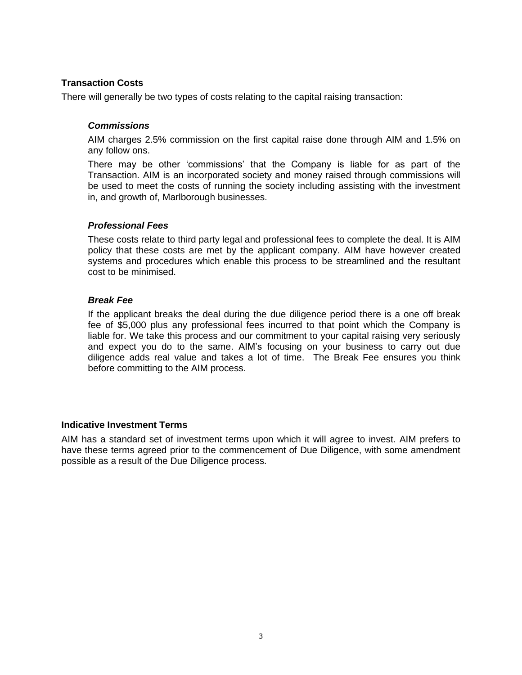## **Transaction Costs**

There will generally be two types of costs relating to the capital raising transaction:

## *Commissions*

AIM charges 2.5% commission on the first capital raise done through AIM and 1.5% on any follow ons.

There may be other 'commissions' that the Company is liable for as part of the Transaction. AIM is an incorporated society and money raised through commissions will be used to meet the costs of running the society including assisting with the investment in, and growth of, Marlborough businesses.

### *Professional Fees*

These costs relate to third party legal and professional fees to complete the deal. It is AIM policy that these costs are met by the applicant company. AIM have however created systems and procedures which enable this process to be streamlined and the resultant cost to be minimised.

### *Break Fee*

If the applicant breaks the deal during the due diligence period there is a one off break fee of \$5,000 plus any professional fees incurred to that point which the Company is liable for. We take this process and our commitment to your capital raising very seriously and expect you do to the same. AIM's focusing on your business to carry out due diligence adds real value and takes a lot of time. The Break Fee ensures you think before committing to the AIM process.

## **Indicative Investment Terms**

AIM has a standard set of investment terms upon which it will agree to invest. AIM prefers to have these terms agreed prior to the commencement of Due Diligence, with some amendment possible as a result of the Due Diligence process.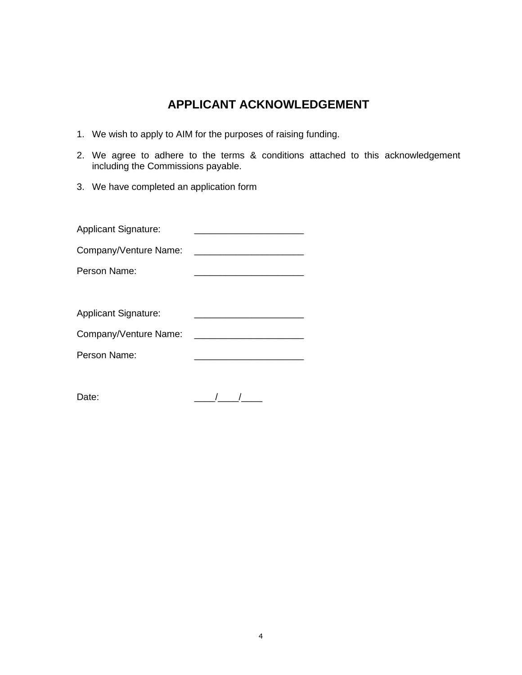## **APPLICANT ACKNOWLEDGEMENT**

- 1. We wish to apply to AIM for the purposes of raising funding.
- 2. We agree to adhere to the terms & conditions attached to this acknowledgement including the Commissions payable.
- 3. We have completed an application form

| <b>Applicant Signature:</b> |  |
|-----------------------------|--|
| Company/Venture Name:       |  |
| Person Name:                |  |
|                             |  |
| <b>Applicant Signature:</b> |  |
|                             |  |
| Company/Venture Name:       |  |
| Person Name:                |  |
|                             |  |

Date:  $\frac{1}{\sqrt{2\pi}}$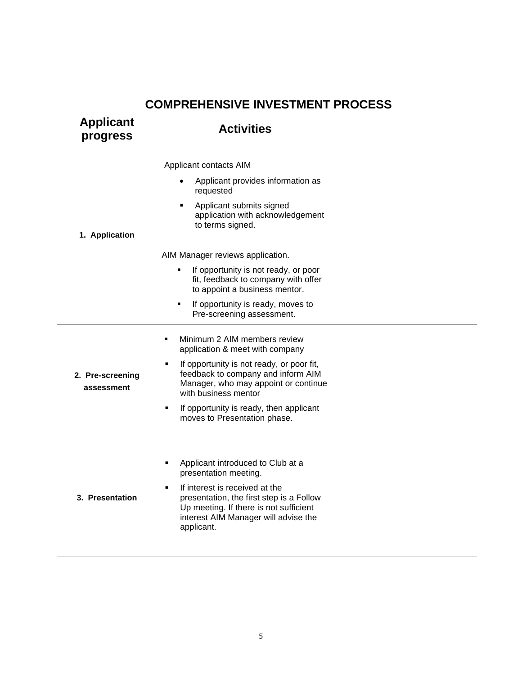## **COMPREHENSIVE INVESTMENT PROCESS**

| <b>Applicant</b><br>progress   | <b>Activities</b>                                                                                                                                                                            |  |
|--------------------------------|----------------------------------------------------------------------------------------------------------------------------------------------------------------------------------------------|--|
|                                | Applicant contacts AIM                                                                                                                                                                       |  |
|                                | Applicant provides information as<br>requested                                                                                                                                               |  |
| 1. Application                 | Applicant submits signed<br>٠<br>application with acknowledgement<br>to terms signed.                                                                                                        |  |
|                                | AIM Manager reviews application.                                                                                                                                                             |  |
|                                | If opportunity is not ready, or poor<br>٠<br>fit, feedback to company with offer<br>to appoint a business mentor.                                                                            |  |
|                                | If opportunity is ready, moves to<br>$\blacksquare$<br>Pre-screening assessment.                                                                                                             |  |
|                                | Minimum 2 AIM members review<br>٠<br>application & meet with company                                                                                                                         |  |
| 2. Pre-screening<br>assessment | If opportunity is not ready, or poor fit,<br>٠<br>feedback to company and inform AIM<br>Manager, who may appoint or continue<br>with business mentor                                         |  |
|                                | If opportunity is ready, then applicant<br>٠<br>moves to Presentation phase.                                                                                                                 |  |
|                                | Applicant introduced to Club at a<br>٠<br>presentation meeting.                                                                                                                              |  |
| 3. Presentation                | If interest is received at the<br>$\blacksquare$<br>presentation, the first step is a Follow<br>Up meeting. If there is not sufficient<br>interest AIM Manager will advise the<br>applicant. |  |